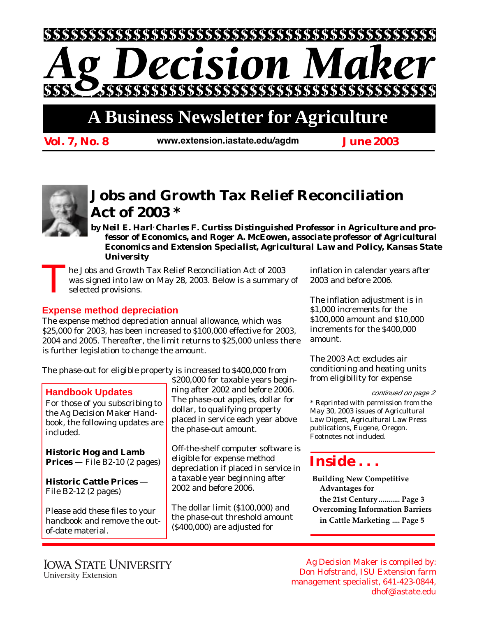# ecision Mal

# **A Business Newsletter for Agriculture**

*Vol. 7, No. 8 June 2003 www.extension.iastate.edu/agdm*



## **Jobs and Growth Tax Relief Reconciliation Act of 2003 \***

*by Neil E. Harl, Charles F. Curtiss Distinguished Professor in Agriculture and professor of Economics, and Roger A. McEowen, associate professor of Agricultural Economics and Extension Specialist, Agricultural Law and Policy, Kansas State University*

The Jobs and Growth Tax Relief Reconciliation Act of 2003<br>was signed into law on May 28, 2003. Below is a summary<br>selected provisions. was signed into law on May 28, 2003. Below is a summary of selected provisions.

### **Expense method depreciation**

The expense method depreciation annual allowance, which was \$25,000 for 2003, has been increased to \$100,000 effective for 2003, 2004 and 2005. Thereafter, the limit returns to \$25,000 unless there is further legislation to change the amount.

The phase-out for eligible property is increased to \$400,000 from

#### **Handbook Updates**

For those of you subscribing to the *Ag Decision Maker Handbook*, the following updates are included.

**Historic Hog and Lamb Prices** — File B2-10 (2 pages)

**Historic Cattle Prices** — File B2-12 (2 pages)

Please add these files to your handbook and remove the outof-date material.

\$200,000 for taxable years beginning after 2002 and before 2006. The phase-out applies, dollar for dollar, to qualifying property placed in service each year above the phase-out amount.

Off-the-shelf computer software is eligible for expense method depreciation if placed in service in a taxable year beginning after 2002 and before 2006.

The dollar limit (\$100,000) and the phase-out threshold amount (\$400,000) are adjusted for

inflation in calendar years after 2003 and before 2006.

The inflation adjustment is in \$1,000 increments for the \$100,000 amount and \$10,000 increments for the \$400,000 amount.

The 2003 Act excludes air conditioning and heating units from eligibility for expense

continued on page 2

\* Reprinted with permission from the May 30, 2003 issues of Agricultural Law Digest, Agricultural Law Press publications, Eugene, Oregon. Footnotes not included.

## *Inside . . .*

**Building New Competitive Advantages for the 21st Century........... Page 3 Overcoming Information Barriers in Cattle Marketing .... Page 5**

Ag Decision Maker is compiled by: Don Hofstrand, ISU Extension farm management specialist, 641-423-0844, dhof@iastate.edu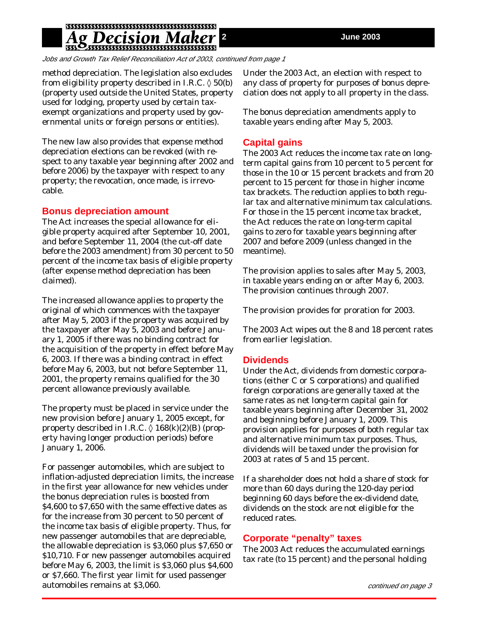## g Decision Ma

Jobs and Growth Tax Relief Reconciliation Act of 2003, continued from page 1

method depreciation. The legislation also excludes from eligibility property described in I.R.C.  $\Diamond$  50(b) (property used outside the United States, property used for lodging, property used by certain taxexempt organizations and property used by governmental units or foreign persons or entities).

The new law also provides that expense method depreciation elections can be revoked (with respect to any taxable year beginning after 2002 and before 2006) by the taxpayer with respect to any property; the revocation, once made, is irrevocable.

#### **Bonus depreciation amount**

The Act increases the special allowance for eligible property acquired after September 10, 2001, and before September 11, 2004 (the cut-off date before the 2003 amendment) from 30 percent to 50 percent of the income tax basis of eligible property (after expense method depreciation has been claimed).

The increased allowance applies to property the original of which commences with the taxpayer after May 5, 2003 if the property was acquired by the taxpayer after May 5, 2003 and before January 1, 2005 if there was no binding contract for the acquisition of the property in effect before May 6, 2003. If there was a binding contract in effect before May 6, 2003, but not before September 11, 2001, the property remains qualified for the 30 percent allowance previously available.

The property must be placed in service under the new provision before January 1, 2005 except, for property described in I.R.C.  $\Diamond$  168(k)(2)(B) (property having longer production periods) before January 1, 2006.

For passenger automobiles, which are subject to inflation-adjusted depreciation limits, the increase in the first year allowance for new vehicles under the bonus depreciation rules is boosted from \$4,600 to \$7,650 with the same effective dates as for the increase from 30 percent to 50 percent of the income tax basis of eligible property. Thus, for new passenger automobiles that are depreciable, the allowable depreciation is \$3,060 plus \$7,650 or \$10,710. For new passenger automobiles acquired before May 6, 2003, the limit is \$3,060 plus \$4,600 or \$7,660. The first year limit for used passenger automobiles remains at \$3,060.

Under the 2003 Act, an election with respect to any class of property for purposes of bonus depreciation does not apply to all property in the class.

The bonus depreciation amendments apply to taxable years ending after May 5, 2003.

#### **Capital gains**

The 2003 Act reduces the income tax rate on longterm capital gains from 10 percent to 5 percent for those in the 10 or 15 percent brackets and from 20 percent to 15 percent for those in higher income tax brackets. The reduction applies to both regular tax and alternative minimum tax calculations. For those in the 15 percent income tax bracket, the Act reduces the rate on long-term capital gains to zero for taxable years beginning after 2007 and before 2009 (unless changed in the meantime).

The provision applies to sales after May 5, 2003, in taxable years ending on or after May 6, 2003. The provision continues through 2007.

The provision provides for proration for 2003.

The 2003 Act wipes out the 8 and 18 percent rates from earlier legislation.

#### **Dividends**

Under the Act, dividends from domestic corporations (either C or S corporations) and qualified foreign corporations are generally taxed at the same rates as net long-term capital gain for taxable years beginning after December 31, 2002 and beginning before January 1, 2009. This provision applies for purposes of both regular tax and alternative minimum tax purposes. Thus, dividends will be taxed under the provision for 2003 at rates of 5 and 15 percent.

If a shareholder does not hold a share of stock for more than 60 days during the 120-day period beginning 60 days before the ex-dividend date, dividends on the stock are not eligible for the reduced rates.

#### **Corporate "penalty" taxes**

The 2003 Act reduces the accumulated earnings tax rate (to 15 percent) and the personal holding